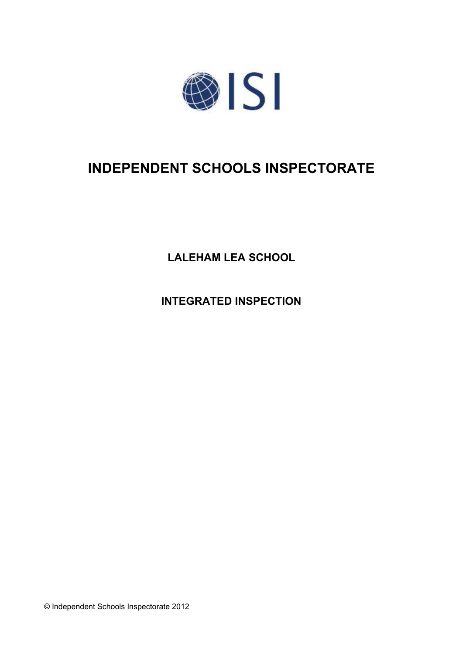

# **INDEPENDENT SCHOOLS INSPECTORATE**

**LALEHAM LEA SCHOOL**

**INTEGRATED INSPECTION**

© Independent Schools Inspectorate 2012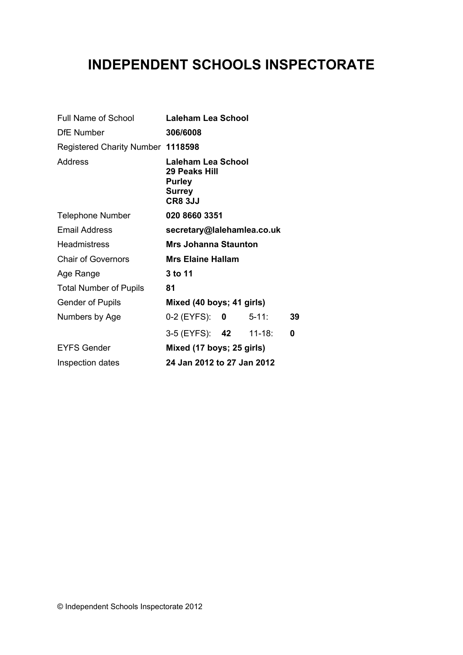# **INDEPENDENT SCHOOLS INSPECTORATE**

| Full Name of School               | <b>Laleham Lea School</b>                                                        |  |            |    |  |
|-----------------------------------|----------------------------------------------------------------------------------|--|------------|----|--|
| <b>DfE</b> Number                 | 306/6008                                                                         |  |            |    |  |
| Registered Charity Number 1118598 |                                                                                  |  |            |    |  |
| Address                           | Laleham Lea School<br>29 Peaks Hill<br><b>Purley</b><br>Surrey<br><b>CR8 3JJ</b> |  |            |    |  |
| <b>Telephone Number</b>           | 020 8660 3351                                                                    |  |            |    |  |
| <b>Email Address</b>              | secretary@lalehamlea.co.uk                                                       |  |            |    |  |
| <b>Headmistress</b>               | Mrs Johanna Staunton                                                             |  |            |    |  |
| <b>Chair of Governors</b>         | <b>Mrs Elaine Hallam</b>                                                         |  |            |    |  |
| Age Range                         | 3 to 11                                                                          |  |            |    |  |
| <b>Total Number of Pupils</b>     | 81                                                                               |  |            |    |  |
| <b>Gender of Pupils</b>           | Mixed (40 boys; 41 girls)                                                        |  |            |    |  |
| Numbers by Age                    | 0-2 (EYFS): 0                                                                    |  | $5 - 11$ : | 39 |  |
|                                   | 3-5 (EYFS): 42 11-18:                                                            |  |            | 0  |  |
| <b>EYFS Gender</b>                | Mixed (17 boys; 25 girls)                                                        |  |            |    |  |
| Inspection dates                  | 24 Jan 2012 to 27 Jan 2012                                                       |  |            |    |  |
|                                   |                                                                                  |  |            |    |  |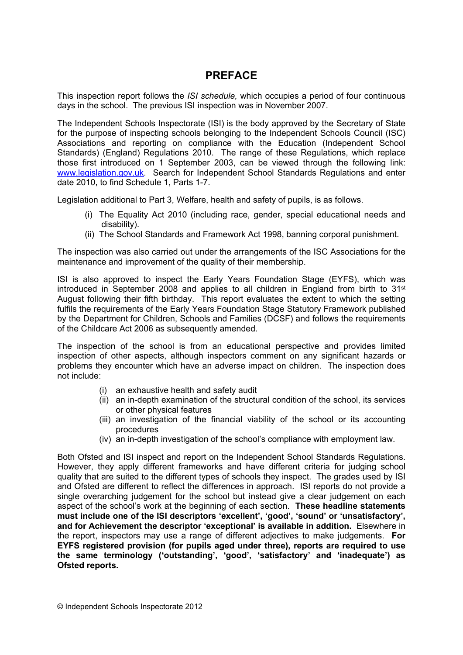# **PREFACE**

This inspection report follows the *ISI schedule,* which occupies a period of four continuous days in the school. The previous ISI inspection was in November 2007.

The Independent Schools Inspectorate (ISI) is the body approved by the Secretary of State for the purpose of inspecting schools belonging to the Independent Schools Council (ISC) Associations and reporting on compliance with the Education (Independent School Standards) (England) Regulations 2010. The range of these Regulations, which replace those first introduced on 1 September 2003, can be viewed through the following link: [www.legislation.gov.uk.](http://www.legislation.gov.uk) Search for Independent School Standards Regulations and enter date 2010, to find Schedule 1, Parts 1-7.

Legislation additional to Part 3, Welfare, health and safety of pupils, is as follows.

- (i) The Equality Act 2010 (including race, gender, special educational needs and disability).
- (ii) The School Standards and Framework Act 1998, banning corporal punishment.

The inspection was also carried out under the arrangements of the ISC Associations for the maintenance and improvement of the quality of their membership.

ISI is also approved to inspect the Early Years Foundation Stage (EYFS), which was introduced in September 2008 and applies to all children in England from birth to 31<sup>st</sup> August following their fifth birthday. This report evaluates the extent to which the setting fulfils the requirements of the Early Years Foundation Stage Statutory Framework published by the Department for Children, Schools and Families (DCSF) and follows the requirements of the Childcare Act 2006 as subsequently amended.

The inspection of the school is from an educational perspective and provides limited inspection of other aspects, although inspectors comment on any significant hazards or problems they encounter which have an adverse impact on children. The inspection does not include:

- (i) an exhaustive health and safety audit
- (ii) an in-depth examination of the structural condition of the school, its services or other physical features
- (iii) an investigation of the financial viability of the school or its accounting procedures
- (iv) an in-depth investigation of the school's compliance with employment law.

Both Ofsted and ISI inspect and report on the Independent School Standards Regulations. However, they apply different frameworks and have different criteria for judging school quality that are suited to the different types of schools they inspect. The grades used by ISI and Ofsted are different to reflect the differences in approach. ISI reports do not provide a single overarching judgement for the school but instead give a clear judgement on each aspect of the school's work at the beginning of each section. **These headline statements must include one of the ISI descriptors 'excellent', 'good', 'sound' or 'unsatisfactory', and for Achievement the descriptor 'exceptional' is available in addition.** Elsewhere in the report, inspectors may use a range of different adjectives to make judgements. **For EYFS registered provision (for pupils aged under three), reports are required to use the same terminology ('outstanding', 'good', 'satisfactory' and 'inadequate') as Ofsted reports.**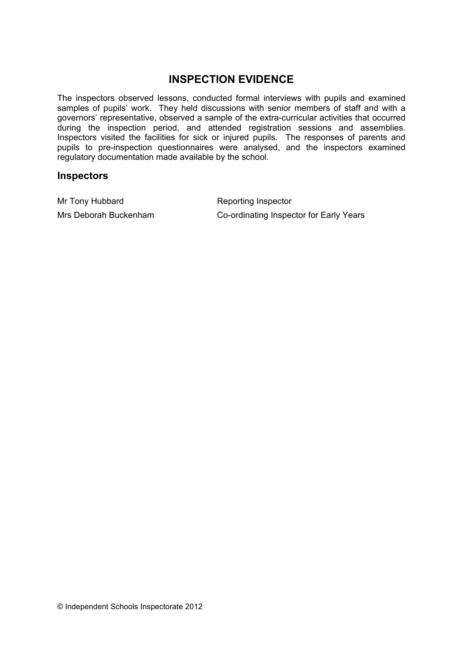# **INSPECTION EVIDENCE**

The inspectors observed lessons, conducted formal interviews with pupils and examined samples of pupils' work. They held discussions with senior members of staff and with a governors' representative, observed a sample of the extra-curricular activities that occurred during the inspection period, and attended registration sessions and assemblies. Inspectors visited the facilities for sick or injured pupils. The responses of parents and pupils to pre-inspection questionnaires were analysed, and the inspectors examined regulatory documentation made available by the school.

#### **Inspectors**

Mr Tony Hubbard Reporting Inspector

Mrs Deborah Buckenham Co-ordinating Inspector for Early Years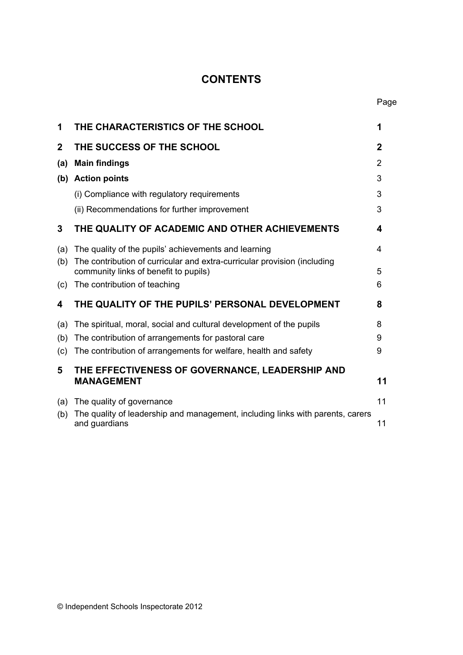# **CONTENTS**

| 1              | THE CHARACTERISTICS OF THE SCHOOL                                                                                 | 1           |
|----------------|-------------------------------------------------------------------------------------------------------------------|-------------|
| $\overline{2}$ | THE SUCCESS OF THE SCHOOL                                                                                         | $\mathbf 2$ |
| (a)            | <b>Main findings</b>                                                                                              | 2           |
| (b)            | <b>Action points</b>                                                                                              | 3           |
|                | (i) Compliance with regulatory requirements                                                                       | 3           |
|                | (ii) Recommendations for further improvement                                                                      | 3           |
| 3              | THE QUALITY OF ACADEMIC AND OTHER ACHIEVEMENTS                                                                    | 4           |
| (a)            | The quality of the pupils' achievements and learning                                                              | 4           |
| (b)            | The contribution of curricular and extra-curricular provision (including<br>community links of benefit to pupils) | 5           |
| (c)            | The contribution of teaching                                                                                      | 6           |
| 4              | THE QUALITY OF THE PUPILS' PERSONAL DEVELOPMENT                                                                   | 8           |
| (a)            | The spiritual, moral, social and cultural development of the pupils                                               | 8           |
| (b)            | The contribution of arrangements for pastoral care                                                                | 9           |
| (c)            | The contribution of arrangements for welfare, health and safety                                                   | 9           |
| 5              | THE EFFECTIVENESS OF GOVERNANCE, LEADERSHIP AND                                                                   |             |
|                | <b>MANAGEMENT</b>                                                                                                 | 11          |
| (a)            | The quality of governance                                                                                         | 11          |
| (b)            | The quality of leadership and management, including links with parents, carers<br>and guardians                   | 11          |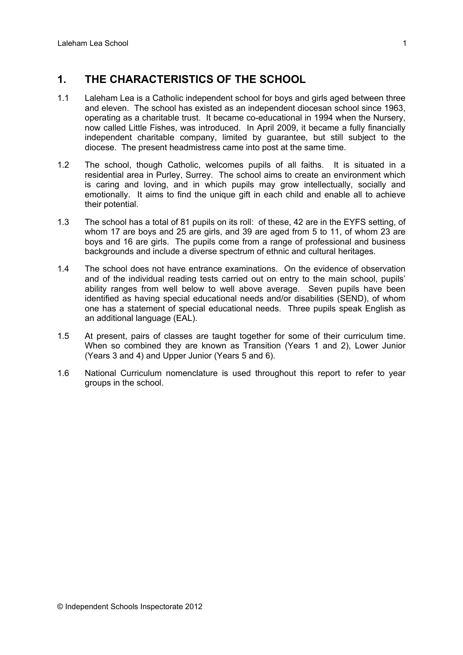## **1. THE CHARACTERISTICS OF THE SCHOOL**

- 1.1 Laleham Lea is a Catholic independent school for boys and girls aged between three and eleven. The school has existed as an independent diocesan school since 1963, operating as a charitable trust. It became co-educational in 1994 when the Nursery, now called Little Fishes, was introduced. In April 2009, it became a fully financially independent charitable company, limited by guarantee, but still subject to the diocese. The present headmistress came into post at the same time.
- 1.2 The school, though Catholic, welcomes pupils of all faiths. It is situated in a residential area in Purley, Surrey. The school aims to create an environment which is caring and loving, and in which pupils may grow intellectually, socially and emotionally. It aims to find the unique gift in each child and enable all to achieve their potential.
- 1.3 The school has a total of 81 pupils on its roll: of these, 42 are in the EYFS setting, of whom 17 are boys and 25 are girls, and 39 are aged from 5 to 11, of whom 23 are boys and 16 are girls. The pupils come from a range of professional and business backgrounds and include a diverse spectrum of ethnic and cultural heritages.
- 1.4 The school does not have entrance examinations. On the evidence of observation and of the individual reading tests carried out on entry to the main school, pupils' ability ranges from well below to well above average. Seven pupils have been identified as having special educational needs and/or disabilities (SEND), of whom one has a statement of special educational needs. Three pupils speak English as an additional language (EAL).
- 1.5 At present, pairs of classes are taught together for some of their curriculum time. When so combined they are known as Transition (Years 1 and 2), Lower Junior (Years 3 and 4) and Upper Junior (Years 5 and 6).
- 1.6 National Curriculum nomenclature is used throughout this report to refer to year groups in the school.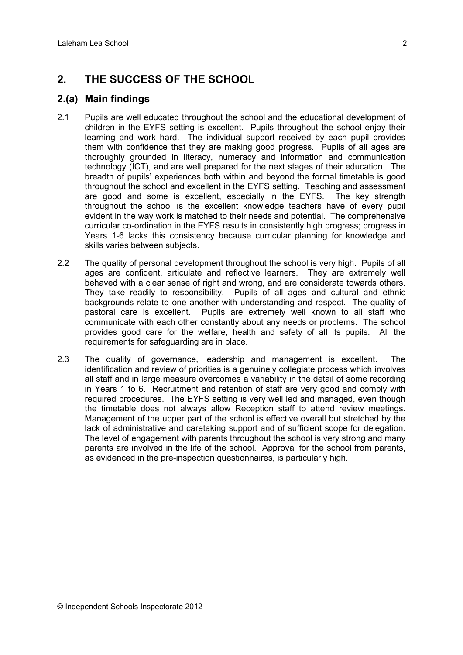# **2. THE SUCCESS OF THE SCHOOL**

## **2.(a) Main findings**

- 2.1 Pupils are well educated throughout the school and the educational development of children in the EYFS setting is excellent. Pupils throughout the school enjoy their learning and work hard. The individual support received by each pupil provides them with confidence that they are making good progress. Pupils of all ages are thoroughly grounded in literacy, numeracy and information and communication technology (ICT), and are well prepared for the next stages of their education. The breadth of pupils' experiences both within and beyond the formal timetable is good throughout the school and excellent in the EYFS setting. Teaching and assessment are good and some is excellent, especially in the EYFS. The key strength throughout the school is the excellent knowledge teachers have of every pupil evident in the way work is matched to their needs and potential. The comprehensive curricular co-ordination in the EYFS results in consistently high progress; progress in Years 1-6 lacks this consistency because curricular planning for knowledge and skills varies between subjects.
- 2.2 The quality of personal development throughout the school is very high. Pupils of all ages are confident, articulate and reflective learners. They are extremely well behaved with a clear sense of right and wrong, and are considerate towards others. They take readily to responsibility. Pupils of all ages and cultural and ethnic backgrounds relate to one another with understanding and respect. The quality of pastoral care is excellent. Pupils are extremely well known to all staff who communicate with each other constantly about any needs or problems. The school provides good care for the welfare, health and safety of all its pupils. All the requirements for safeguarding are in place.
- 2.3 The quality of governance, leadership and management is excellent. The identification and review of priorities is a genuinely collegiate process which involves all staff and in large measure overcomes a variability in the detail of some recording in Years 1 to 6. Recruitment and retention of staff are very good and comply with required procedures. The EYFS setting is very well led and managed, even though the timetable does not always allow Reception staff to attend review meetings. Management of the upper part of the school is effective overall but stretched by the lack of administrative and caretaking support and of sufficient scope for delegation. The level of engagement with parents throughout the school is very strong and many parents are involved in the life of the school. Approval for the school from parents, as evidenced in the pre-inspection questionnaires, is particularly high.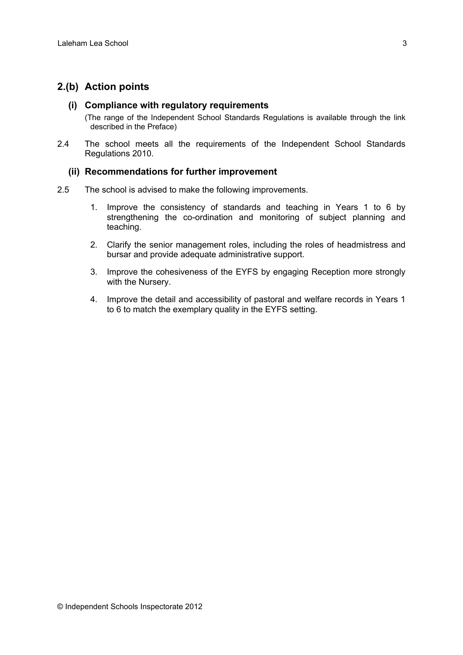## **2.(b) Action points**

#### **(i) Compliance with regulatory requirements**

(The range of the Independent School Standards Regulations is available through the link described in the Preface)

2.4 The school meets all the requirements of the Independent School Standards Regulations 2010.

#### **(ii) Recommendations for further improvement**

- 2.5 The school is advised to make the following improvements.
	- 1. Improve the consistency of standards and teaching in Years 1 to 6 by strengthening the co-ordination and monitoring of subject planning and teaching.
	- 2. Clarify the senior management roles, including the roles of headmistress and bursar and provide adequate administrative support.
	- 3. Improve the cohesiveness of the EYFS by engaging Reception more strongly with the Nursery.
	- 4. Improve the detail and accessibility of pastoral and welfare records in Years 1 to 6 to match the exemplary quality in the EYFS setting.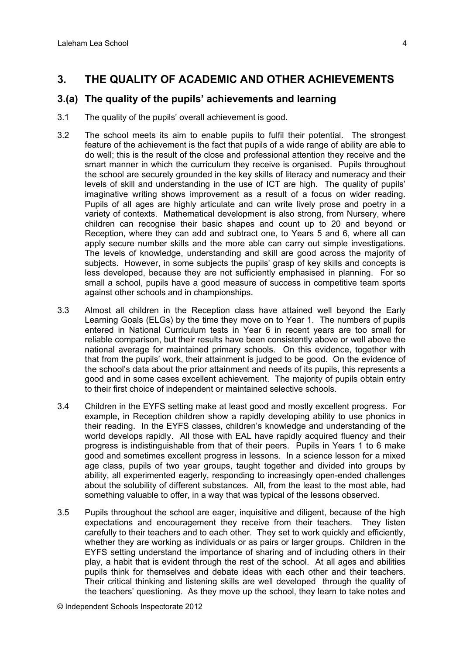## **3. THE QUALITY OF ACADEMIC AND OTHER ACHIEVEMENTS**

### **3.(a) The quality of the pupils' achievements and learning**

- 3.1 The quality of the pupils' overall achievement is good.
- 3.2 The school meets its aim to enable pupils to fulfil their potential. The strongest feature of the achievement is the fact that pupils of a wide range of ability are able to do well; this is the result of the close and professional attention they receive and the smart manner in which the curriculum they receive is organised. Pupils throughout the school are securely grounded in the key skills of literacy and numeracy and their levels of skill and understanding in the use of ICT are high. The quality of pupils' imaginative writing shows improvement as a result of a focus on wider reading. Pupils of all ages are highly articulate and can write lively prose and poetry in a variety of contexts. Mathematical development is also strong, from Nursery, where children can recognise their basic shapes and count up to 20 and beyond or Reception, where they can add and subtract one, to Years 5 and 6, where all can apply secure number skills and the more able can carry out simple investigations. The levels of knowledge, understanding and skill are good across the majority of subjects. However, in some subjects the pupils' grasp of key skills and concepts is less developed, because they are not sufficiently emphasised in planning. For so small a school, pupils have a good measure of success in competitive team sports against other schools and in championships.
- 3.3 Almost all children in the Reception class have attained well beyond the Early Learning Goals (ELGs) by the time they move on to Year 1. The numbers of pupils entered in National Curriculum tests in Year 6 in recent years are too small for reliable comparison, but their results have been consistently above or well above the national average for maintained primary schools. On this evidence, together with that from the pupils' work, their attainment is judged to be good. On the evidence of the school's data about the prior attainment and needs of its pupils, this represents a good and in some cases excellent achievement. The majority of pupils obtain entry to their first choice of independent or maintained selective schools.
- 3.4 Children in the EYFS setting make at least good and mostly excellent progress. For example, in Reception children show a rapidly developing ability to use phonics in their reading. In the EYFS classes, children's knowledge and understanding of the world develops rapidly. All those with EAL have rapidly acquired fluency and their progress is indistinguishable from that of their peers. Pupils in Years 1 to 6 make good and sometimes excellent progress in lessons. In a science lesson for a mixed age class, pupils of two year groups, taught together and divided into groups by ability, all experimented eagerly, responding to increasingly open-ended challenges about the solubility of different substances. All, from the least to the most able, had something valuable to offer, in a way that was typical of the lessons observed.
- 3.5 Pupils throughout the school are eager, inquisitive and diligent, because of the high expectations and encouragement they receive from their teachers. They listen carefully to their teachers and to each other. They set to work quickly and efficiently, whether they are working as individuals or as pairs or larger groups. Children in the EYFS setting understand the importance of sharing and of including others in their play, a habit that is evident through the rest of the school. At all ages and abilities pupils think for themselves and debate ideas with each other and their teachers. Their critical thinking and listening skills are well developed through the quality of the teachers' questioning. As they move up the school, they learn to take notes and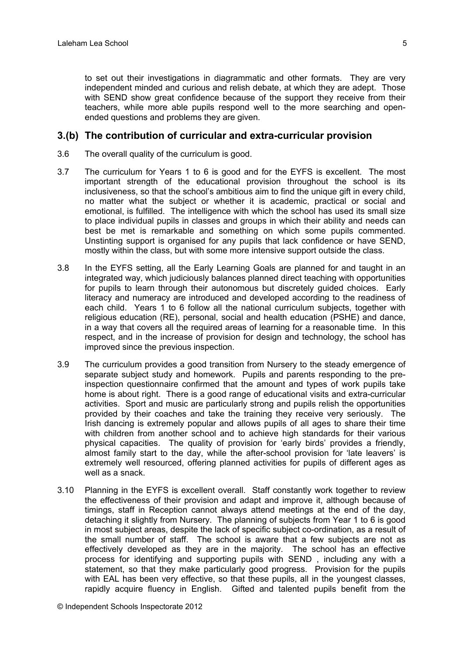to set out their investigations in diagrammatic and other formats. They are very independent minded and curious and relish debate, at which they are adept. Those with SEND show great confidence because of the support they receive from their teachers, while more able pupils respond well to the more searching and openended questions and problems they are given.

#### **3.(b) The contribution of curricular and extra-curricular provision**

- 3.6 The overall quality of the curriculum is good.
- 3.7 The curriculum for Years 1 to 6 is good and for the EYFS is excellent. The most important strength of the educational provision throughout the school is its inclusiveness, so that the school's ambitious aim to find the unique gift in every child, no matter what the subject or whether it is academic, practical or social and emotional, is fulfilled. The intelligence with which the school has used its small size to place individual pupils in classes and groups in which their ability and needs can best be met is remarkable and something on which some pupils commented. Unstinting support is organised for any pupils that lack confidence or have SEND, mostly within the class, but with some more intensive support outside the class.
- 3.8 In the EYFS setting, all the Early Learning Goals are planned for and taught in an integrated way, which judiciously balances planned direct teaching with opportunities for pupils to learn through their autonomous but discretely guided choices. Early literacy and numeracy are introduced and developed according to the readiness of each child. Years 1 to 6 follow all the national curriculum subjects, together with religious education (RE), personal, social and health education (PSHE) and dance, in a way that covers all the required areas of learning for a reasonable time. In this respect, and in the increase of provision for design and technology, the school has improved since the previous inspection.
- 3.9 The curriculum provides a good transition from Nursery to the steady emergence of separate subject study and homework. Pupils and parents responding to the preinspection questionnaire confirmed that the amount and types of work pupils take home is about right. There is a good range of educational visits and extra-curricular activities. Sport and music are particularly strong and pupils relish the opportunities provided by their coaches and take the training they receive very seriously. The Irish dancing is extremely popular and allows pupils of all ages to share their time with children from another school and to achieve high standards for their various physical capacities. The quality of provision for 'early birds' provides a friendly, almost family start to the day, while the after-school provision for 'late leavers' is extremely well resourced, offering planned activities for pupils of different ages as well as a snack.
- 3.10 Planning in the EYFS is excellent overall. Staff constantly work together to review the effectiveness of their provision and adapt and improve it, although because of timings, staff in Reception cannot always attend meetings at the end of the day, detaching it slightly from Nursery. The planning of subjects from Year 1 to 6 is good in most subject areas, despite the lack of specific subject co-ordination, as a result of the small number of staff. The school is aware that a few subjects are not as effectively developed as they are in the majority. The school has an effective process for identifying and supporting pupils with SEND , including any with a statement, so that they make particularly good progress. Provision for the pupils with EAL has been very effective, so that these pupils, all in the youngest classes, rapidly acquire fluency in English. Gifted and talented pupils benefit from the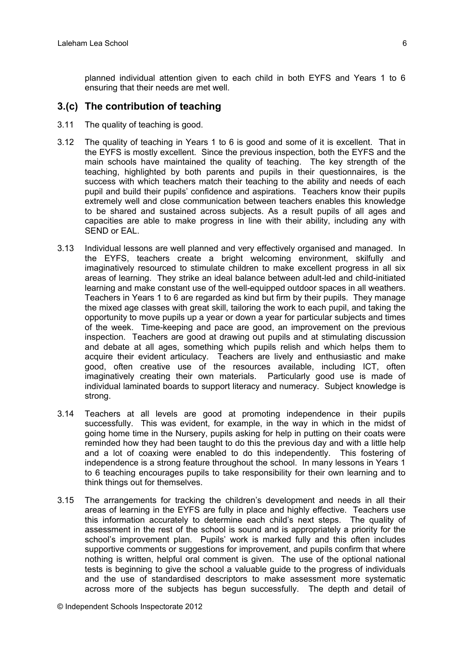planned individual attention given to each child in both EYFS and Years 1 to 6 ensuring that their needs are met well.

#### **3.(c) The contribution of teaching**

- 3.11 The quality of teaching is good.
- 3.12 The quality of teaching in Years 1 to 6 is good and some of it is excellent. That in the EYFS is mostly excellent. Since the previous inspection, both the EYFS and the main schools have maintained the quality of teaching. The key strength of the teaching, highlighted by both parents and pupils in their questionnaires, is the success with which teachers match their teaching to the ability and needs of each pupil and build their pupils' confidence and aspirations. Teachers know their pupils extremely well and close communication between teachers enables this knowledge to be shared and sustained across subjects. As a result pupils of all ages and capacities are able to make progress in line with their ability, including any with SEND or EAL.
- 3.13 Individual lessons are well planned and very effectively organised and managed. In the EYFS, teachers create a bright welcoming environment, skilfully and imaginatively resourced to stimulate children to make excellent progress in all six areas of learning. They strike an ideal balance between adult-led and child-initiated learning and make constant use of the well-equipped outdoor spaces in all weathers. Teachers in Years 1 to 6 are regarded as kind but firm by their pupils. They manage the mixed age classes with great skill, tailoring the work to each pupil, and taking the opportunity to move pupils up a year or down a year for particular subjects and times of the week. Time-keeping and pace are good, an improvement on the previous inspection. Teachers are good at drawing out pupils and at stimulating discussion and debate at all ages, something which pupils relish and which helps them to acquire their evident articulacy. Teachers are lively and enthusiastic and make good, often creative use of the resources available, including ICT, often imaginatively creating their own materials. Particularly good use is made of individual laminated boards to support literacy and numeracy. Subject knowledge is strong.
- 3.14 Teachers at all levels are good at promoting independence in their pupils successfully. This was evident, for example, in the way in which in the midst of going home time in the Nursery, pupils asking for help in putting on their coats were reminded how they had been taught to do this the previous day and with a little help and a lot of coaxing were enabled to do this independently. This fostering of independence is a strong feature throughout the school. In many lessons in Years 1 to 6 teaching encourages pupils to take responsibility for their own learning and to think things out for themselves.
- 3.15 The arrangements for tracking the children's development and needs in all their areas of learning in the EYFS are fully in place and highly effective. Teachers use this information accurately to determine each child's next steps. The quality of assessment in the rest of the school is sound and is appropriately a priority for the school's improvement plan. Pupils' work is marked fully and this often includes supportive comments or suggestions for improvement, and pupils confirm that where nothing is written, helpful oral comment is given. The use of the optional national tests is beginning to give the school a valuable guide to the progress of individuals and the use of standardised descriptors to make assessment more systematic across more of the subjects has begun successfully. The depth and detail of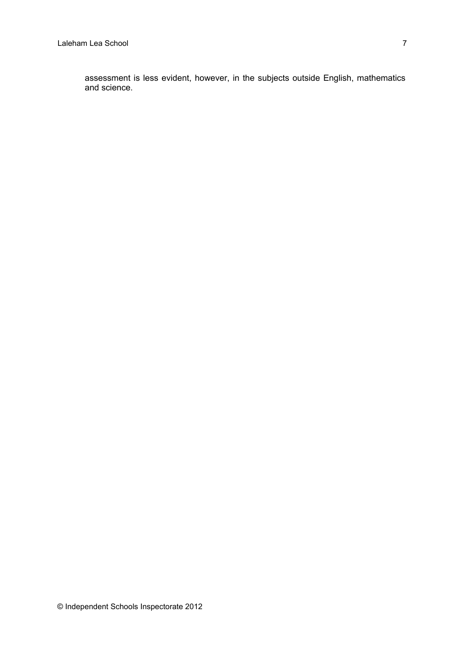assessment is less evident, however, in the subjects outside English, mathematics and science.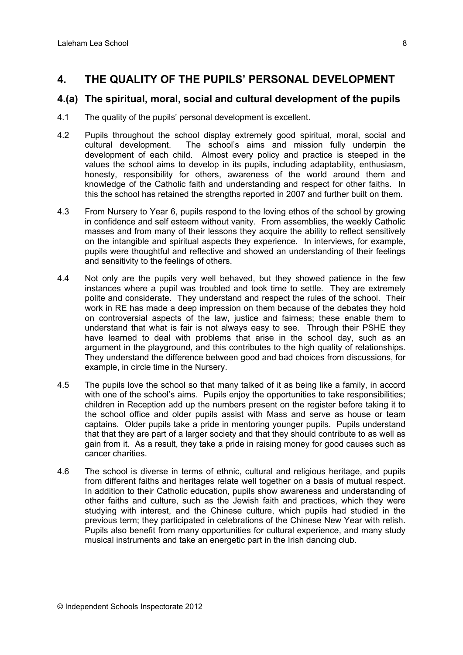## **4. THE QUALITY OF THE PUPILS' PERSONAL DEVELOPMENT**

### **4.(a) The spiritual, moral, social and cultural development of the pupils**

- 4.1 The quality of the pupils' personal development is excellent.
- 4.2 Pupils throughout the school display extremely good spiritual, moral, social and cultural development. The school's aims and mission fully underpin the development of each child. Almost every policy and practice is steeped in the values the school aims to develop in its pupils, including adaptability, enthusiasm, honesty, responsibility for others, awareness of the world around them and knowledge of the Catholic faith and understanding and respect for other faiths. In this the school has retained the strengths reported in 2007 and further built on them.
- 4.3 From Nursery to Year 6, pupils respond to the loving ethos of the school by growing in confidence and self esteem without vanity. From assemblies, the weekly Catholic masses and from many of their lessons they acquire the ability to reflect sensitively on the intangible and spiritual aspects they experience. In interviews, for example, pupils were thoughtful and reflective and showed an understanding of their feelings and sensitivity to the feelings of others.
- 4.4 Not only are the pupils very well behaved, but they showed patience in the few instances where a pupil was troubled and took time to settle. They are extremely polite and considerate. They understand and respect the rules of the school. Their work in RE has made a deep impression on them because of the debates they hold on controversial aspects of the law, justice and fairness; these enable them to understand that what is fair is not always easy to see. Through their PSHE they have learned to deal with problems that arise in the school day, such as an argument in the playground, and this contributes to the high quality of relationships. They understand the difference between good and bad choices from discussions, for example, in circle time in the Nursery.
- 4.5 The pupils love the school so that many talked of it as being like a family, in accord with one of the school's aims. Pupils enjoy the opportunities to take responsibilities; children in Reception add up the numbers present on the register before taking it to the school office and older pupils assist with Mass and serve as house or team captains. Older pupils take a pride in mentoring younger pupils. Pupils understand that that they are part of a larger society and that they should contribute to as well as gain from it. As a result, they take a pride in raising money for good causes such as cancer charities.
- 4.6 The school is diverse in terms of ethnic, cultural and religious heritage, and pupils from different faiths and heritages relate well together on a basis of mutual respect. In addition to their Catholic education, pupils show awareness and understanding of other faiths and culture, such as the Jewish faith and practices, which they were studying with interest, and the Chinese culture, which pupils had studied in the previous term; they participated in celebrations of the Chinese New Year with relish. Pupils also benefit from many opportunities for cultural experience, and many study musical instruments and take an energetic part in the Irish dancing club.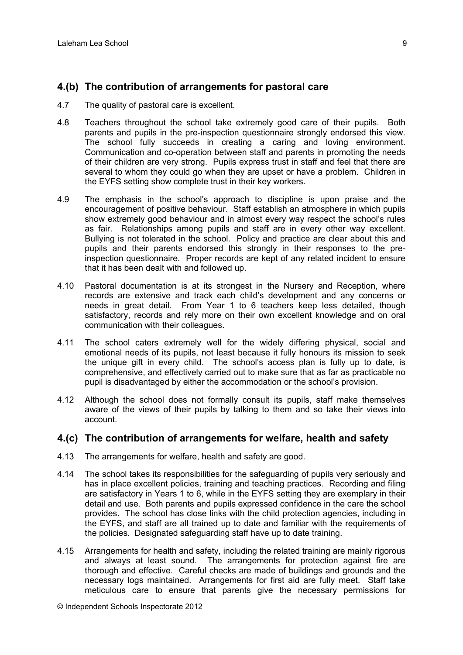#### **4.(b) The contribution of arrangements for pastoral care**

- 4.7 The quality of pastoral care is excellent.
- 4.8 Teachers throughout the school take extremely good care of their pupils. Both parents and pupils in the pre-inspection questionnaire strongly endorsed this view. The school fully succeeds in creating a caring and loving environment. Communication and co-operation between staff and parents in promoting the needs of their children are very strong. Pupils express trust in staff and feel that there are several to whom they could go when they are upset or have a problem. Children in the EYFS setting show complete trust in their key workers.
- 4.9 The emphasis in the school's approach to discipline is upon praise and the encouragement of positive behaviour. Staff establish an atmosphere in which pupils show extremely good behaviour and in almost every way respect the school's rules as fair. Relationships among pupils and staff are in every other way excellent. Bullying is not tolerated in the school. Policy and practice are clear about this and pupils and their parents endorsed this strongly in their responses to the preinspection questionnaire. Proper records are kept of any related incident to ensure that it has been dealt with and followed up.
- 4.10 Pastoral documentation is at its strongest in the Nursery and Reception, where records are extensive and track each child's development and any concerns or needs in great detail. From Year 1 to 6 teachers keep less detailed, though satisfactory, records and rely more on their own excellent knowledge and on oral communication with their colleagues.
- 4.11 The school caters extremely well for the widely differing physical, social and emotional needs of its pupils, not least because it fully honours its mission to seek the unique gift in every child. The school's access plan is fully up to date, is comprehensive, and effectively carried out to make sure that as far as practicable no pupil is disadvantaged by either the accommodation or the school's provision.
- 4.12 Although the school does not formally consult its pupils, staff make themselves aware of the views of their pupils by talking to them and so take their views into account.

#### **4.(c) The contribution of arrangements for welfare, health and safety**

- 4.13 The arrangements for welfare, health and safety are good.
- 4.14 The school takes its responsibilities for the safeguarding of pupils very seriously and has in place excellent policies, training and teaching practices. Recording and filing are satisfactory in Years 1 to 6, while in the EYFS setting they are exemplary in their detail and use. Both parents and pupils expressed confidence in the care the school provides. The school has close links with the child protection agencies, including in the EYFS, and staff are all trained up to date and familiar with the requirements of the policies. Designated safeguarding staff have up to date training.
- 4.15 Arrangements for health and safety, including the related training are mainly rigorous and always at least sound. The arrangements for protection against fire are thorough and effective. Careful checks are made of buildings and grounds and the necessary logs maintained. Arrangements for first aid are fully meet. Staff take meticulous care to ensure that parents give the necessary permissions for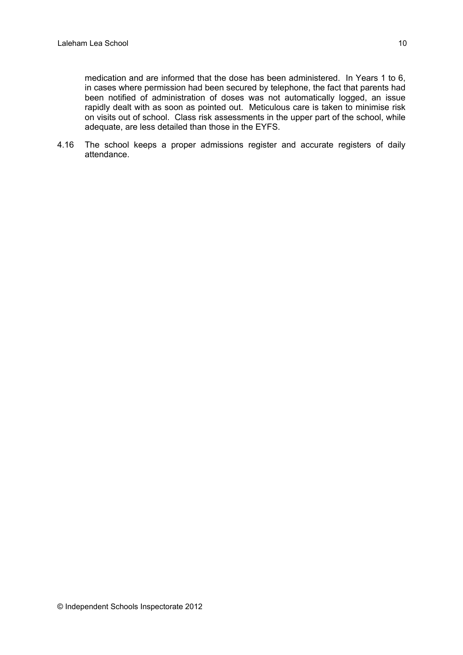medication and are informed that the dose has been administered. In Years 1 to 6, in cases where permission had been secured by telephone, the fact that parents had been notified of administration of doses was not automatically logged, an issue rapidly dealt with as soon as pointed out. Meticulous care is taken to minimise risk on visits out of school. Class risk assessments in the upper part of the school, while adequate, are less detailed than those in the EYFS.

4.16 The school keeps a proper admissions register and accurate registers of daily attendance.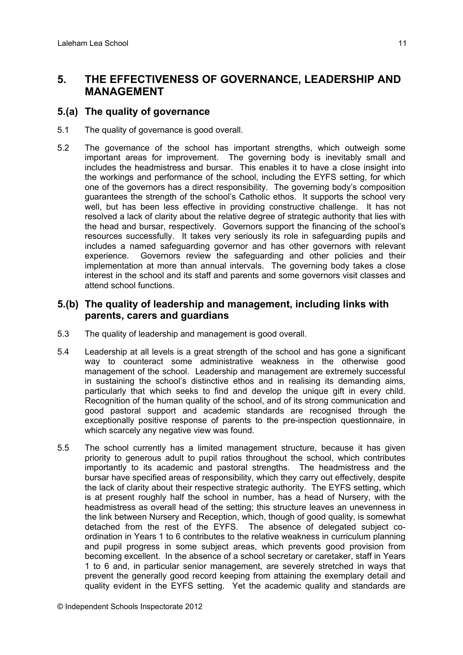## **5. THE EFFECTIVENESS OF GOVERNANCE, LEADERSHIP AND MANAGEMENT**

## **5.(a) The quality of governance**

- 5.1 The quality of governance is good overall.
- 5.2 The governance of the school has important strengths, which outweigh some important areas for improvement. The governing body is inevitably small and includes the headmistress and bursar. This enables it to have a close insight into the workings and performance of the school, including the EYFS setting, for which one of the governors has a direct responsibility. The governing body's composition guarantees the strength of the school's Catholic ethos. It supports the school very well, but has been less effective in providing constructive challenge. It has not resolved a lack of clarity about the relative degree of strategic authority that lies with the head and bursar, respectively. Governors support the financing of the school's resources successfully. It takes very seriously its role in safeguarding pupils and includes a named safeguarding governor and has other governors with relevant experience. Governors review the safeguarding and other policies and their implementation at more than annual intervals. The governing body takes a close interest in the school and its staff and parents and some governors visit classes and attend school functions.

## **5.(b) The quality of leadership and management, including links with parents, carers and guardians**

- 5.3 The quality of leadership and management is good overall.
- 5.4 Leadership at all levels is a great strength of the school and has gone a significant way to counteract some administrative weakness in the otherwise good management of the school. Leadership and management are extremely successful in sustaining the school's distinctive ethos and in realising its demanding aims, particularly that which seeks to find and develop the unique gift in every child. Recognition of the human quality of the school, and of its strong communication and good pastoral support and academic standards are recognised through the exceptionally positive response of parents to the pre-inspection questionnaire, in which scarcely any negative view was found.
- 5.5 The school currently has a limited management structure, because it has given priority to generous adult to pupil ratios throughout the school, which contributes importantly to its academic and pastoral strengths. The headmistress and the bursar have specified areas of responsibility, which they carry out effectively, despite the lack of clarity about their respective strategic authority. The EYFS setting, which is at present roughly half the school in number, has a head of Nursery, with the headmistress as overall head of the setting; this structure leaves an unevenness in the link between Nursery and Reception, which, though of good quality, is somewhat detached from the rest of the EYFS. The absence of delegated subject coordination in Years 1 to 6 contributes to the relative weakness in curriculum planning and pupil progress in some subject areas, which prevents good provision from becoming excellent. In the absence of a school secretary or caretaker, staff in Years 1 to 6 and, in particular senior management, are severely stretched in ways that prevent the generally good record keeping from attaining the exemplary detail and quality evident in the EYFS setting. Yet the academic quality and standards are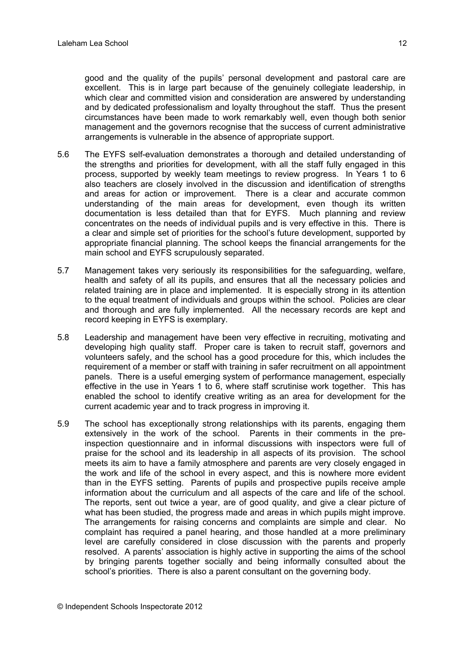good and the quality of the pupils' personal development and pastoral care are excellent. This is in large part because of the genuinely collegiate leadership, in which clear and committed vision and consideration are answered by understanding and by dedicated professionalism and loyalty throughout the staff. Thus the present circumstances have been made to work remarkably well, even though both senior management and the governors recognise that the success of current administrative arrangements is vulnerable in the absence of appropriate support.

- 5.6 The EYFS self-evaluation demonstrates a thorough and detailed understanding of the strengths and priorities for development, with all the staff fully engaged in this process, supported by weekly team meetings to review progress. In Years 1 to 6 also teachers are closely involved in the discussion and identification of strengths and areas for action or improvement. There is a clear and accurate common understanding of the main areas for development, even though its written documentation is less detailed than that for EYFS. Much planning and review concentrates on the needs of individual pupils and is very effective in this. There is a clear and simple set of priorities for the school's future development, supported by appropriate financial planning. The school keeps the financial arrangements for the main school and EYFS scrupulously separated.
- 5.7 Management takes very seriously its responsibilities for the safeguarding, welfare, health and safety of all its pupils, and ensures that all the necessary policies and related training are in place and implemented. It is especially strong in its attention to the equal treatment of individuals and groups within the school. Policies are clear and thorough and are fully implemented. All the necessary records are kept and record keeping in EYFS is exemplary.
- 5.8 Leadership and management have been very effective in recruiting, motivating and developing high quality staff. Proper care is taken to recruit staff, governors and volunteers safely, and the school has a good procedure for this, which includes the requirement of a member or staff with training in safer recruitment on all appointment panels. There is a useful emerging system of performance management, especially effective in the use in Years 1 to 6, where staff scrutinise work together. This has enabled the school to identify creative writing as an area for development for the current academic year and to track progress in improving it.
- 5.9 The school has exceptionally strong relationships with its parents, engaging them extensively in the work of the school. Parents in their comments in the preinspection questionnaire and in informal discussions with inspectors were full of praise for the school and its leadership in all aspects of its provision. The school meets its aim to have a family atmosphere and parents are very closely engaged in the work and life of the school in every aspect, and this is nowhere more evident than in the EYFS setting. Parents of pupils and prospective pupils receive ample information about the curriculum and all aspects of the care and life of the school. The reports, sent out twice a year, are of good quality, and give a clear picture of what has been studied, the progress made and areas in which pupils might improve. The arrangements for raising concerns and complaints are simple and clear. No complaint has required a panel hearing, and those handled at a more preliminary level are carefully considered in close discussion with the parents and properly resolved. A parents' association is highly active in supporting the aims of the school by bringing parents together socially and being informally consulted about the school's priorities. There is also a parent consultant on the governing body.